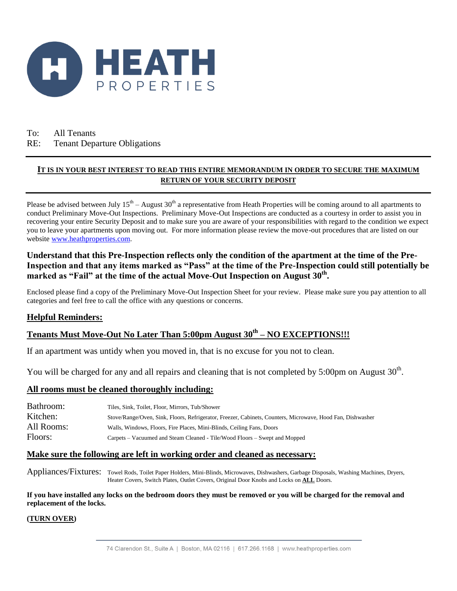

## To: All Tenants RE: Tenant Departure Obligations

## **IT IS IN YOUR BEST INTEREST TO READ THIS ENTIRE MEMORANDUM IN ORDER TO SECURE THE MAXIMUM RETURN OF YOUR SECURITY DEPOSIT**

Please be advised between July  $15<sup>th</sup> - August 30<sup>th</sup>$  a representative from Heath Properties will be coming around to all apartments to conduct Preliminary Move-Out Inspections. Preliminary Move-Out Inspections are conducted as a courtesy in order to assist you in recovering your entire Security Deposit and to make sure you are aware of your responsibilities with regard to the condition we expect you to leave your apartments upon moving out. For more information please review the move-out procedures that are listed on our website [www.heathproperties.com.](http://www.heathproperties.com/) 

## **Understand that this Pre-Inspection reflects only the condition of the apartment at the time of the Pre-Inspection and that any items marked as "Pass" at the time of the Pre-Inspection could still potentially be**  marked as "Fail" at the time of the actual Move-Out Inspection on August 30<sup>th</sup>.

Enclosed please find a copy of the Preliminary Move-Out Inspection Sheet for your review. Please make sure you pay attention to all categories and feel free to call the office with any questions or concerns.

## **Helpful Reminders:**

# **Tenants Must Move-Out No Later Than 5:00pm August 30 th – NO EXCEPTIONS!!!**

If an apartment was untidy when you moved in, that is no excuse for you not to clean.

You will be charged for any and all repairs and cleaning that is not completed by 5:00pm on August  $30<sup>th</sup>$ .

### **All rooms must be cleaned thoroughly including:**

| Bathroom:  | Tiles, Sink, Toilet, Floor, Mirrors, Tub/Shower                                                            |
|------------|------------------------------------------------------------------------------------------------------------|
| Kitchen:   | Stove/Range/Oven, Sink, Floors, Refrigerator, Freezer, Cabinets, Counters, Microwave, Hood Fan, Dishwasher |
| All Rooms: | Walls, Windows, Floors, Fire Places, Mini-Blinds, Ceiling Fans, Doors                                      |
| Floors:    | Carpets – Vacuumed and Steam Cleaned - Tile/Wood Floors – Swept and Mopped                                 |

### **Make sure the following are left in working order and cleaned as necessary:**

Appliances/Fixtures: Towel Rods, Toilet Paper Holders, Mini-Blinds, Microwaves, Dishwashers, Garbage Disposals, Washing Machines, Dryers, Heater Covers, Switch Plates, Outlet Covers, Original Door Knobs and Locks on **ALL** Doors.

**If you have installed any locks on the bedroom doors they must be removed or you will be charged for the removal and replacement of the locks.**

### **(TURN OVER)**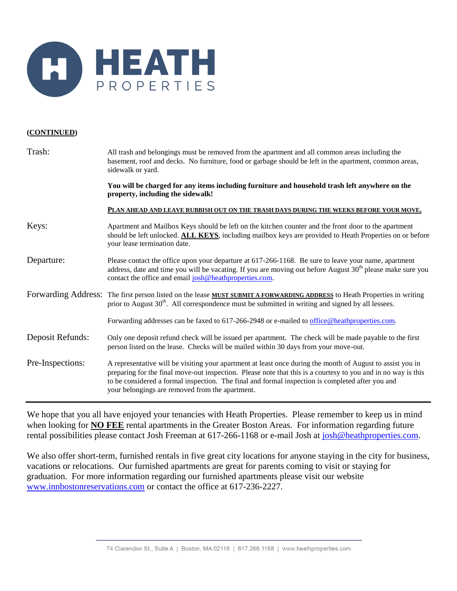

### **(CONTINUED)**

| Trash:           | All trash and belongings must be removed from the apartment and all common areas including the<br>basement, roof and decks. No furniture, food or garbage should be left in the apartment, common areas,<br>sidewalk or yard.                                                                                                                                                      |  |  |  |  |  |  |  |  |  |  |  |
|------------------|------------------------------------------------------------------------------------------------------------------------------------------------------------------------------------------------------------------------------------------------------------------------------------------------------------------------------------------------------------------------------------|--|--|--|--|--|--|--|--|--|--|--|
|                  | You will be charged for any items including furniture and household trash left anywhere on the<br>property, including the sidewalk!                                                                                                                                                                                                                                                |  |  |  |  |  |  |  |  |  |  |  |
|                  | PLAN AHEAD AND LEAVE RUBBISH OUT ON THE TRASH DAYS DURING THE WEEKS BEFORE YOUR MOVE.                                                                                                                                                                                                                                                                                              |  |  |  |  |  |  |  |  |  |  |  |
| Keys:            | Apartment and Mailbox Keys should be left on the kitchen counter and the front door to the apartment<br>should be left unlocked. ALL KEYS, including mailbox keys are provided to Heath Properties on or before<br>your lease termination date.                                                                                                                                    |  |  |  |  |  |  |  |  |  |  |  |
| Departure:       | Please contact the office upon your departure at 617-266-1168. Be sure to leave your name, apartment<br>address, date and time you will be vacating. If you are moving out before August $30th$ please make sure you<br>contact the office and email josh@heathproperties.com.                                                                                                     |  |  |  |  |  |  |  |  |  |  |  |
|                  | Forwarding Address: The first person listed on the lease MUST SUBMIT A FORWARDING ADDRESS to Heath Properties in writing<br>prior to August 30 <sup>th</sup> . All correspondence must be submitted in writing and signed by all lessees.                                                                                                                                          |  |  |  |  |  |  |  |  |  |  |  |
|                  | Forwarding addresses can be faxed to 617-266-2948 or e-mailed to office @heathproperties.com.                                                                                                                                                                                                                                                                                      |  |  |  |  |  |  |  |  |  |  |  |
| Deposit Refunds: | Only one deposit refund check will be issued per apartment. The check will be made payable to the first<br>person listed on the lease. Checks will be mailed within 30 days from your move-out.                                                                                                                                                                                    |  |  |  |  |  |  |  |  |  |  |  |
| Pre-Inspections: | A representative will be visiting your apartment at least once during the month of August to assist you in<br>preparing for the final move-out inspection. Please note that this is a courtesy to you and in no way is this<br>to be considered a formal inspection. The final and formal inspection is completed after you and<br>your belongings are removed from the apartment. |  |  |  |  |  |  |  |  |  |  |  |

We hope that you all have enjoyed your tenancies with Heath Properties. Please remember to keep us in mind when looking for **NO FEE** rental apartments in the Greater Boston Areas. For information regarding future rental possibilities please contact Josh Freeman at 617-266-1168 or e-mail Josh at [josh@heathproperties.com.](mailto:josh@heathproperties.com)

We also offer short-term, furnished rentals in five great city locations for anyone staying in the city for business, vacations or relocations. Our furnished apartments are great for parents coming to visit or staying for graduation. For more information regarding our furnished apartments please visit our website [www.innbostonreservations.com](http://www.innbostonreservations.com/) or contact the office at 617-236-2227.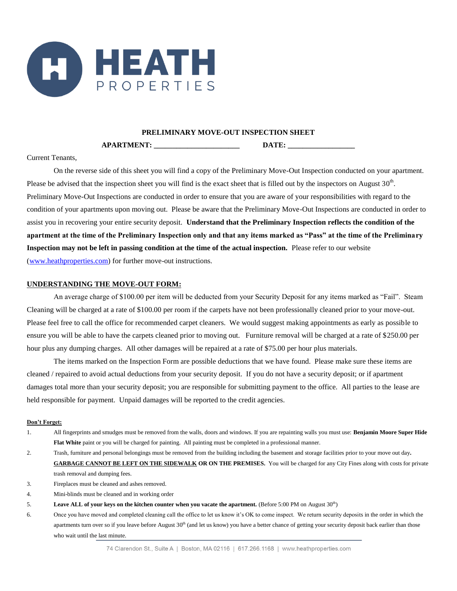

#### **PRELIMINARY MOVE-OUT INSPECTION SHEET**

**APARTMENT: WE DATE:** 

Current Tenants,

On the reverse side of this sheet you will find a copy of the Preliminary Move-Out Inspection conducted on your apartment. Please be advised that the inspection sheet you will find is the exact sheet that is filled out by the inspectors on August  $30<sup>th</sup>$ . Preliminary Move-Out Inspections are conducted in order to ensure that you are aware of your responsibilities with regard to the condition of your apartments upon moving out. Please be aware that the Preliminary Move-Out Inspections are conducted in order to assist you in recovering your entire security deposit. **Understand that the Preliminary Inspection reflects the condition of the apartment at the time of the Preliminary Inspection only and that any items marked as "Pass" at the time of the Preliminary Inspection may not be left in passing condition at the time of the actual inspection.** Please refer to our website [\(www.heathproperties.com\)](http://www.heathproperties.com/) for further move-out instructions.

### **UNDERSTANDING THE MOVE-OUT FORM:**

An average charge of \$100.00 per item will be deducted from your Security Deposit for any items marked as "Fail". Steam Cleaning will be charged at a rate of \$100.00 per room if the carpets have not been professionally cleaned prior to your move-out. Please feel free to call the office for recommended carpet cleaners. We would suggest making appointments as early as possible to ensure you will be able to have the carpets cleaned prior to moving out. Furniture removal will be charged at a rate of \$250.00 per hour plus any dumping charges. All other damages will be repaired at a rate of \$75.00 per hour plus materials.

The items marked on the Inspection Form are possible deductions that we have found. Please make sure these items are cleaned / repaired to avoid actual deductions from your security deposit. If you do not have a security deposit; or if apartment damages total more than your security deposit; you are responsible for submitting payment to the office. All parties to the lease are held responsible for payment. Unpaid damages will be reported to the credit agencies.

#### **Don't Forget:**

- 1. All fingerprints and smudges must be removed from the walls, doors and windows. If you are repainting walls you must use: **Benjamin Moore Super Hide Flat White** paint or you will be charged for painting. All painting must be completed in a professional manner.
- 2. Trash, furniture and personal belongings must be removed from the building including the basement and storage facilities prior to your move out day**. GARBAGE CANNOT BE LEFT ON THE SIDEWALK OR ON THE PREMISES.** You will be charged for any City Fines along with costs for private trash removal and dumping fees.
- 3. Fireplaces must be cleaned and ashes removed.
- 4. Mini-blinds must be cleaned and in working order
- 5. **Leave ALL of your keys on the kitchen counter when you vacate the apartment.** (Before 5:00 PM on August 30<sup>th</sup>)
- 6. Once you have moved and completed cleaning call the office to let us know it's OK to come inspect. We return security deposits in the order in which the apartments turn over so if you leave before August 30<sup>th</sup> (and let us know) you have a better chance of getting your security deposit back earlier than those who wait until the last minute.